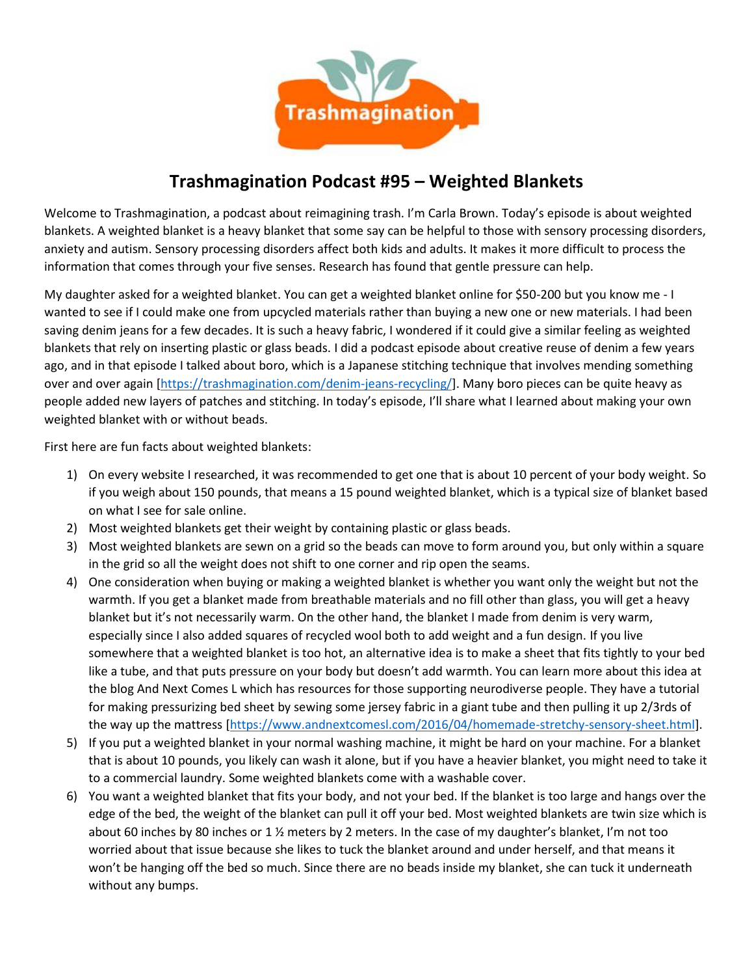

# **Trashmagination Podcast #95 – Weighted Blankets**

Welcome to Trashmagination, a podcast about reimagining trash. I'm Carla Brown. Today's episode is about weighted blankets. A weighted blanket is a heavy blanket that some say can be helpful to those with sensory processing disorders, anxiety and autism. Sensory processing disorders affect both kids and adults. It makes it more difficult to process the information that comes through your five senses. Research has found that gentle pressure can help.

My daughter asked for a weighted blanket. You can get a weighted blanket online for \$50-200 but you know me - I wanted to see if I could make one from upcycled materials rather than buying a new one or new materials. I had been saving denim jeans for a few decades. It is such a heavy fabric, I wondered if it could give a similar feeling as weighted blankets that rely on inserting plastic or glass beads. I did a podcast episode about creative reuse of denim a few years ago, and in that episode I talked about boro, which is a Japanese stitching technique that involves mending something over and over again [https://trashmagination.com/denim-jeans-recycling/]. Many boro pieces can be quite heavy as people added new layers of patches and stitching. In today's episode, I'll share what I learned about making your own weighted blanket with or without beads.

First here are fun facts about weighted blankets:

- 1) On every website I researched, it was recommended to get one that is about 10 percent of your body weight. So if you weigh about 150 pounds, that means a 15 pound weighted blanket, which is a typical size of blanket based on what I see for sale online.
- 2) Most weighted blankets get their weight by containing plastic or glass beads.
- 3) Most weighted blankets are sewn on a grid so the beads can move to form around you, but only within a square in the grid so all the weight does not shift to one corner and rip open the seams.
- 4) One consideration when buying or making a weighted blanket is whether you want only the weight but not the warmth. If you get a blanket made from breathable materials and no fill other than glass, you will get a heavy blanket but it's not necessarily warm. On the other hand, the blanket I made from denim is very warm, especially since I also added squares of recycled wool both to add weight and a fun design. If you live somewhere that a weighted blanket is too hot, an alternative idea is to make a sheet that fits tightly to your bed like a tube, and that puts pressure on your body but doesn't add warmth. You can learn more about this idea at the blog And Next Comes L which has resources for those supporting neurodiverse people. They have a tutorial for making pressurizing bed sheet by sewing some jersey fabric in a giant tube and then pulling it up 2/3rds of the way up the mattress [https://www.andnextcomesl.com/2016/04/homemade-stretchy-sensory-sheet.html].
- 5) If you put a weighted blanket in your normal washing machine, it might be hard on your machine. For a blanket that is about 10 pounds, you likely can wash it alone, but if you have a heavier blanket, you might need to take it to a commercial laundry. Some weighted blankets come with a washable cover.
- 6) You want a weighted blanket that fits your body, and not your bed. If the blanket is too large and hangs over the edge of the bed, the weight of the blanket can pull it off your bed. Most weighted blankets are twin size which is about 60 inches by 80 inches or 1 % meters by 2 meters. In the case of my daughter's blanket, I'm not too worried about that issue because she likes to tuck the blanket around and under herself, and that means it won't be hanging off the bed so much. Since there are no beads inside my blanket, she can tuck it underneath without any bumps.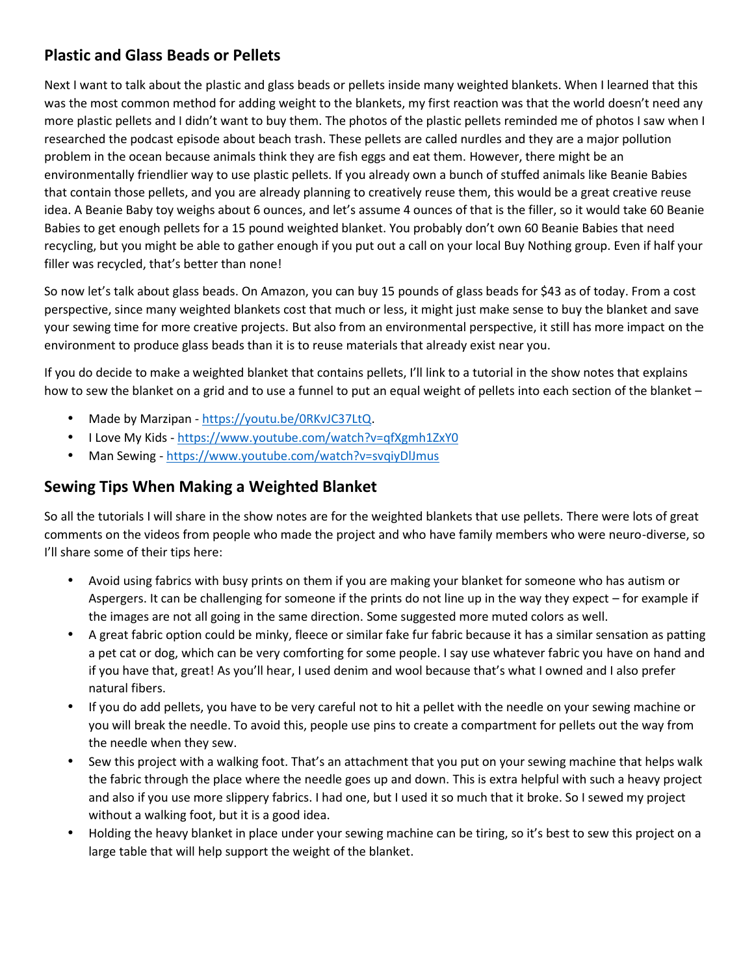## **Plastic and Glass Beads or Pellets**

Next I want to talk about the plastic and glass beads or pellets inside many weighted blankets. When I learned that this was the most common method for adding weight to the blankets, my first reaction was that the world doesn't need any more plastic pellets and I didn't want to buy them. The photos of the plastic pellets reminded me of photos I saw when I researched the podcast episode about beach trash. These pellets are called nurdles and they are a major pollution problem in the ocean because animals think they are fish eggs and eat them. However, there might be an environmentally friendlier way to use plastic pellets. If you already own a bunch of stuffed animals like Beanie Babies that contain those pellets, and you are already planning to creatively reuse them, this would be a great creative reuse idea. A Beanie Baby toy weighs about 6 ounces, and let's assume 4 ounces of that is the filler, so it would take 60 Beanie Babies to get enough pellets for a 15 pound weighted blanket. You probably don't own 60 Beanie Babies that need recycling, but you might be able to gather enough if you put out a call on your local Buy Nothing group. Even if half your filler was recycled, that's better than none!

So now let's talk about glass beads. On Amazon, you can buy 15 pounds of glass beads for \$43 as of today. From a cost perspective, since many weighted blankets cost that much or less, it might just make sense to buy the blanket and save your sewing time for more creative projects. But also from an environmental perspective, it still has more impact on the environment to produce glass beads than it is to reuse materials that already exist near you.

If you do decide to make a weighted blanket that contains pellets, I'll link to a tutorial in the show notes that explains how to sew the blanket on a grid and to use a funnel to put an equal weight of pellets into each section of the blanket –

- Made by Marzipan https://youtu.be/0RKvJC37LtQ.
- I Love My Kids https://www.youtube.com/watch?v=qfXgmh1ZxY0
- Man Sewing https://www.youtube.com/watch?v=svqiyDlJmus

#### **Sewing Tips When Making a Weighted Blanket**

So all the tutorials I will share in the show notes are for the weighted blankets that use pellets. There were lots of great comments on the videos from people who made the project and who have family members who were neuro-diverse, so I'll share some of their tips here:

- Avoid using fabrics with busy prints on them if you are making your blanket for someone who has autism or Aspergers. It can be challenging for someone if the prints do not line up in the way they expect – for example if the images are not all going in the same direction. Some suggested more muted colors as well.
- A great fabric option could be minky, fleece or similar fake fur fabric because it has a similar sensation as patting a pet cat or dog, which can be very comforting for some people. I say use whatever fabric you have on hand and if you have that, great! As you'll hear, I used denim and wool because that's what I owned and I also prefer natural fibers.
- If you do add pellets, you have to be very careful not to hit a pellet with the needle on your sewing machine or you will break the needle. To avoid this, people use pins to create a compartment for pellets out the way from the needle when they sew.
- Sew this project with a walking foot. That's an attachment that you put on your sewing machine that helps walk the fabric through the place where the needle goes up and down. This is extra helpful with such a heavy project and also if you use more slippery fabrics. I had one, but I used it so much that it broke. So I sewed my project without a walking foot, but it is a good idea.
- Holding the heavy blanket in place under your sewing machine can be tiring, so it's best to sew this project on a large table that will help support the weight of the blanket.